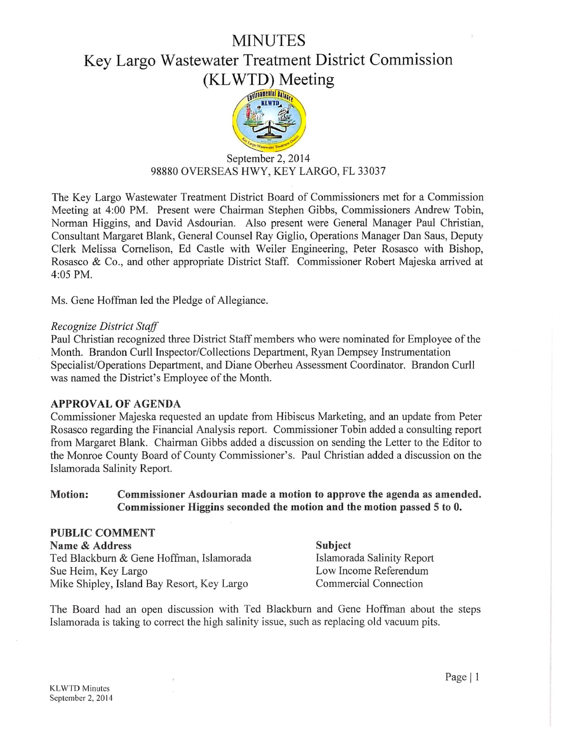# MINUTES

# Key Largo Wastewater Treatment District Commission (KLWTD) Meeting



# September 2, 2014 98880 OVERSEAS HWY, KEY LARGO, FL 33037

The Key Largo Wastewater Treatment District Board of Commissioners met for a Commission Meeting at 4:00 PM. Present were Chairman Stephen Gibbs, Commissioners Andrew Tobin, Norman Higgins, and David Asdourian. Also present were General Manager Paul Christian, Consultant Margaret Blank, General Counsel Ray Giglio, Operations Manager Dan Saus, Deputy Clerk Melissa Comelison, Ed Castle with Weiler Engineering, Peter Rosasco with Bishop, Rosasco & Co., and other appropriate District Staff. Commissioner Robert Majeska arrived at 4:05 PM.

Ms. Gene Hoffman led the Pledge of Allegiance.

#### Recognize District Staff

Paul Christian recognized three District Staff members who were nominated for Employee of the Month. Brandon Curll Inspector/Collections Department, Ryan Dempsey Instrumentation Specialist/Operations Department, and Diane Oberheu Assessment Coordinator. Brandon Curll was named the District's Employee of the Month.

#### APPROVAL OF AGENDA

Commissioner Majeska requested an update from Hibiscus Marketing, and an update from Peter Rosasco regarding the Financial Analysis report. Commissioner Tobin added a consulting report from Margaret Blank. Chairman Gibbs added a discussion on sending the Letter to the Editor to the Monroe County Board of County Commissioner's. Paul Christian added a discussion on the Islamorada Salinity Report.

#### Motion: Commissioner Asdourian made a motion to approve the agenda as amended. Commissioner Higgins seconded the motion and the motion passed 5 to 0.

#### PUBLIC COMMENT Name & Address Subject Ted Blackburn & Gene Hoffman, Islamorada **Islamorada Salinity Report** Sue Heim, Key Largo Low Income Referendum Mike Shipley, Island Bay Resort, Key Largo Commercial Connection

The Board had an open discussion with Ted Blackburn and Gene Hoffman about the steps Islamorada is taking to correct the high salinity issue, such as replacing old vacuum pits.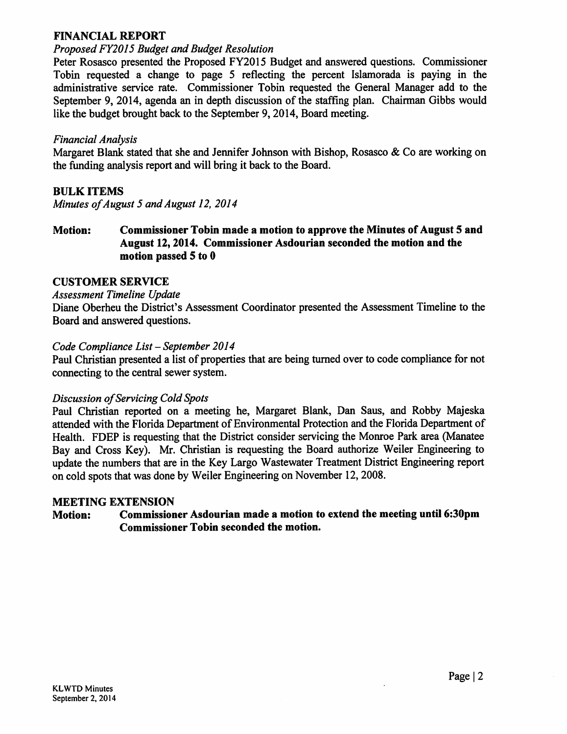# FINANCIAL REPORT

#### ProposedFY20I5 Budget and Budget Resolution

Peter Rosasco presented the Proposed FY2015 Budget and answered questions. Commissioner Tobin requested a change to page 5 reflecting the percent Islamorada is paying in the administrative service rate. Commissioner Tobin requested the General Manager add to the September 9, 2014, agenda an in depth discussion of the staffing plan. Chairman Gibbs would like the budget brought back to the September 9,2014, Board meeting.

### Financial Analysis

Margaret Blank stated that she and Jennifer Johnson with Bishop, Rosasco & Co are working on the funding analysis report and will bring it back to the Board.

# BULK ITEMS

Minutes of August 5 and August 12, 2014

Motion: Commissioner Tobin made a motion to approve the Minutes of August 5 and August 12,2014. Commissioner Asdourian seconded the motion and the motion passed 5 to 0

# CUSTOMER SERVICE

#### Assessment Timeline Update

Diane Oberheu the District's Assessment Coordinator presented the Assessment Timeline to the Board and answered questions.

#### Code Compliance List - September 2014

Paul Christian presented a list of properties that are being turned over to code compliance for not connecting to the central sewer system.

#### Discussion of Servicing Cold Spots

Paul Christian reported on a meeting he, Margaret Blank, Dan Saus, and Robby Majeska attended with the Florida Department of Environmental Protection and the Florida Department of Health. FDEP is requesting that the District consider servicing the Monroe Park area (Manatee Bay and Cross Key). Mr. Christian is requesting the Board authorize Weiler Engineering to update the numbers that are in the Key Largo Wastewater Treatment District Engineering report on cold spots that was doneby Weiler Engineering on November 12,2008.

#### MEETING EXTENSION

# Motion: Commissioner Asdourian made a motion to extend the meeting until 6:30pm Commissioner Tobin seconded the motion.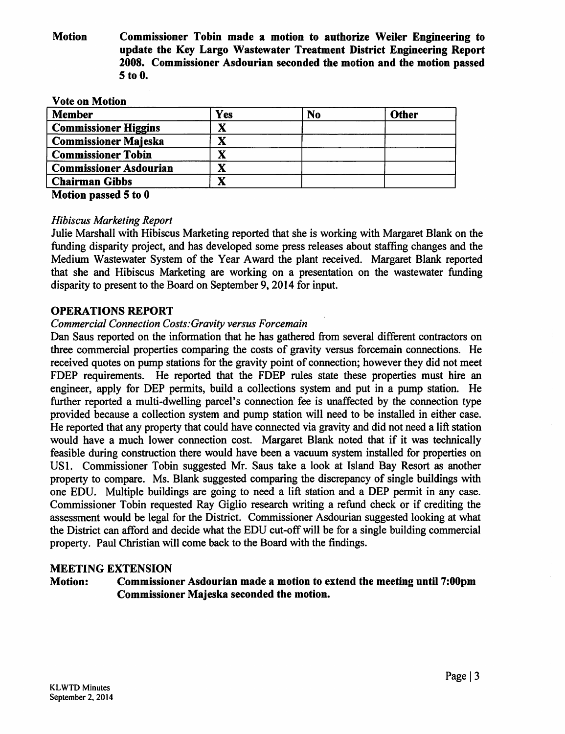Motion Commissioner Tobin made a motion to authorize Weiler Engineering to update the Key Largo Wastewater Treatment District Engineering Report 2008. Commissioner Asdourian seconded the motion and the motion passed 5to0.

| <b>Vote on Motion</b>         |     |                |              |
|-------------------------------|-----|----------------|--------------|
| <b>Member</b>                 | Yes | N <sub>o</sub> | <b>Other</b> |
| <b>Commissioner Higgins</b>   | X   |                |              |
| <b>Commissioner Majeska</b>   | X   |                |              |
| <b>Commissioner Tobin</b>     |     |                |              |
| <b>Commissioner Asdourian</b> |     |                |              |
| <b>Chairman Gibbs</b>         |     |                |              |

Motion passed 5 to 0

#### Hibiscus Marketing Report

Julie Marshall with Hibiscus Marketing reported that she is working with Margaret Blank on the funding disparity project, and has developed some press releases about staffing changes and the Medium Wastewater System of the Year Award the plant received. Margaret Blank reported that she and Hibiscus Marketing are working on a presentation on the wastewater funding disparity to present to the Board on September 9,2014 for input.

#### OPERATIONS REPORT

#### Commercial Connection Costs: Gravity versus Forcemain

Dan Saus reported on the information that he has gathered from several different contractors on three commercial properties comparing the costs of gravity versus forcemain connections. He received quotes on pump stations for the gravity point of connection; however they did not meet FDEP requirements. He reported that the FDEP rules state these properties must hire an engineer, apply for DEP permits, build a collections system and put in a pump station. He further reported a multi-dwelling parcel's connection fee is unaffected by the connection type provided because a collection system and pump station will need to be installed in either case. He reported that any property that could have connected via gravity and did not need a lift station would have a much lower connection cost. Margaret Blank noted that if it was technically feasible during construction there would have been a vacuum system installed for properties on USl. Commissioner Tobin suggested Mr. Saus take a look at Island Bay Resort as another property to compare. Ms. Blank suggested comparing the discrepancy of single buildings with one EDU. Multiple buildings are going to need a lift station and a DEP permit in any case. Commissioner Tobin requested Ray Giglio research writing a refund check or if crediting the assessment would be legal for the District. Commissioner Asdourian suggested looking at what the District can afford and decide what the EDU cut-off will be for a single building commercial property. Paul Christian will come back to the Board with the findings.

#### MEETING EXTENSION

Motion: Commissioner Asdourian made a motion to extend the meeting until 7:00pm Commissioner Majeska seconded the motion.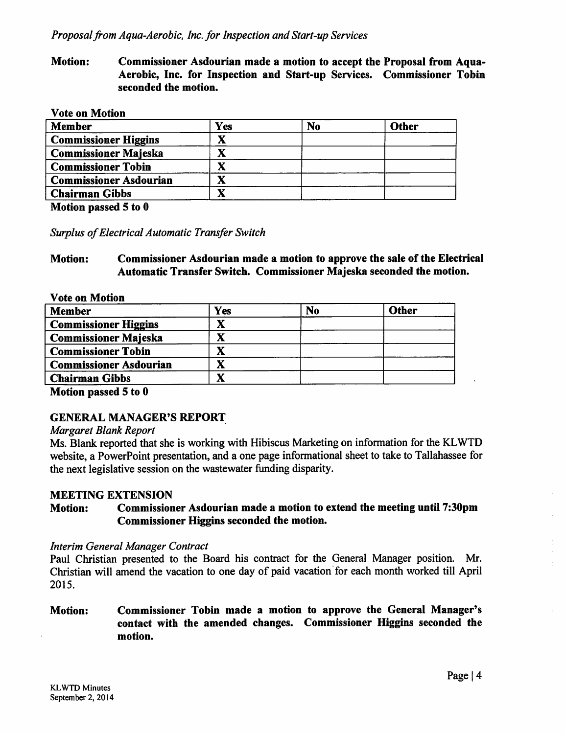Motion: Commissioner Asdourian made a motion to accept the Proposal from Aqua-Aerobic, Inc. for Inspection and Start-up Services. Commissioner Tobin seconded the motion.

#### Vote on Motion

| <b>Member</b>                 | Yes    | N <sub>0</sub> | <b>Other</b> |
|-------------------------------|--------|----------------|--------------|
| <b>Commissioner Higgins</b>   |        |                |              |
| <b>Commissioner Majeska</b>   |        |                |              |
| <b>Commissioner Tobin</b>     | V<br>л |                |              |
| <b>Commissioner Asdourian</b> | X      |                |              |
| <b>Chairman Gibbs</b>         | V      |                |              |

Motion passed 5 to 0

Surplus of Electrical Automatic Transfer Switch

#### Motion: Commissioner Asdourian made a motion to approve the sale of the Electrical Automatic Transfer Switch. Commissioner Majeska seconded the motion.

| <b>Vote on Motion</b>         |             |           |              |
|-------------------------------|-------------|-----------|--------------|
| <b>Member</b>                 | Yes         | <b>No</b> | <b>Other</b> |
| <b>Commissioner Higgins</b>   | $\mathbf X$ |           |              |
| <b>Commissioner Majeska</b>   |             |           |              |
| <b>Commissioner Tobin</b>     |             |           |              |
| <b>Commissioner Asdourian</b> | $\mathbf X$ |           |              |
| <b>Chairman Gibbs</b>         | л           |           |              |

Motion passed 5 to 0

# GENERAL MANAGER'S REPORT

#### Margaret Blank Report

Ms. Blank reported that she is working with Hibiscus Marketing on information for the KLWTD website, a PowerPoint presentation, and a one page informational sheet to take to Tallahassee for the next legislative session on the wastewater funding disparity.

#### MEETING EXTENSION

#### Motion: Commissioner Asdourian made a motion to extend the meeting until 7:30pm Commissioner Higgins seconded the motion.

#### Interim General Manager Contract

Paul Christian presented to the Board his contract for the General Manager position. Mr. Christian will amend the vacation to one day of paid vacation for each month worked till April 2015.

Motion: Commissioner Tobin made a motion to approve the General Manager's contact with the amended changes. Commissioner Higgins seconded the motion.